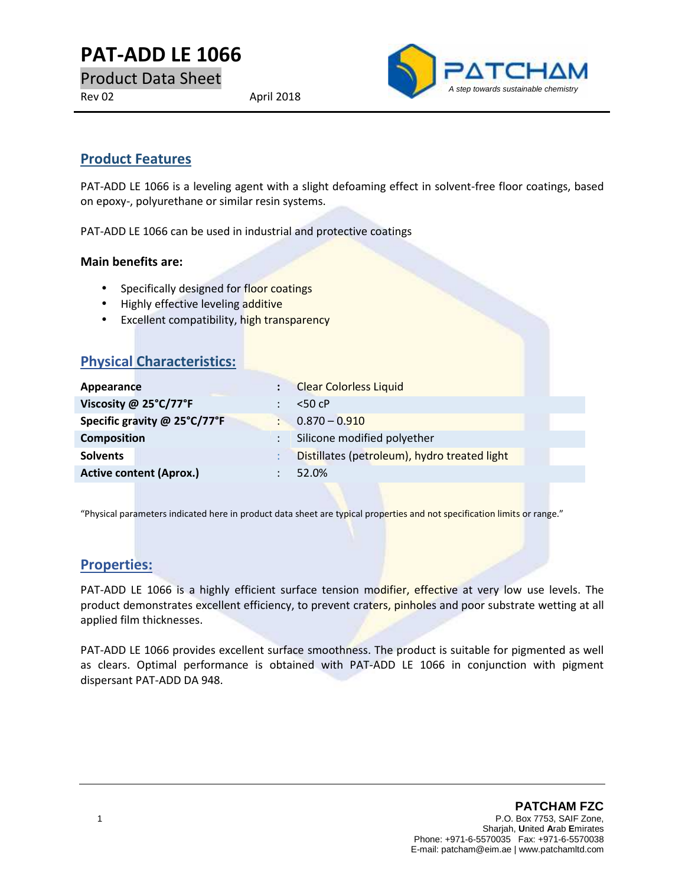# **PAT-ADD LE 1066**

Product Data Sheet

Rev 02 April 2018



# **Product Features**

PAT-ADD LE 1066 is a leveling agent with a slight defoaming effect in solvent-free floor coatings, based on epoxy-, polyurethane or similar resin systems.

PAT-ADD LE 1066 can be used in industrial and protective coatings

#### **Main benefits are:**

- Specifically designed for floor coatings
- Highly effective leveling additive
- **Excellent compatibility, high transparency**

| <b>Physical Characteristics:</b> |           |                                              |  |
|----------------------------------|-----------|----------------------------------------------|--|
| Appearance                       |           | <b>Clear Colorless Liquid</b>                |  |
| Viscosity @ 25°C/77°F            |           | $<$ 50 cP                                    |  |
| Specific gravity @ 25°C/77°F     | <b>CO</b> | $0.870 - 0.910$                              |  |
| <b>Composition</b>               |           | Silicone modified polyether                  |  |
| <b>Solvents</b>                  |           | Distillates (petroleum), hydro treated light |  |
| <b>Active content (Aprox.)</b>   |           | 52.0%                                        |  |
|                                  |           |                                              |  |

"Physical parameters indicated here in product data sheet are typical properties and not specification limits or range."

## **Properties:**

PAT-ADD LE 1066 is a highly efficient surface tension modifier, effective at very low use levels. The product demonstrates excellent efficiency, to prevent craters, pinholes and poor substrate wetting at all applied film thicknesses.

PAT-ADD LE 1066 provides excellent surface smoothness. The product is suitable for pigmented as well as clears. Optimal performance is obtained with PAT-ADD LE 1066 in conjunction with pigment dispersant PAT-ADD DA 948.